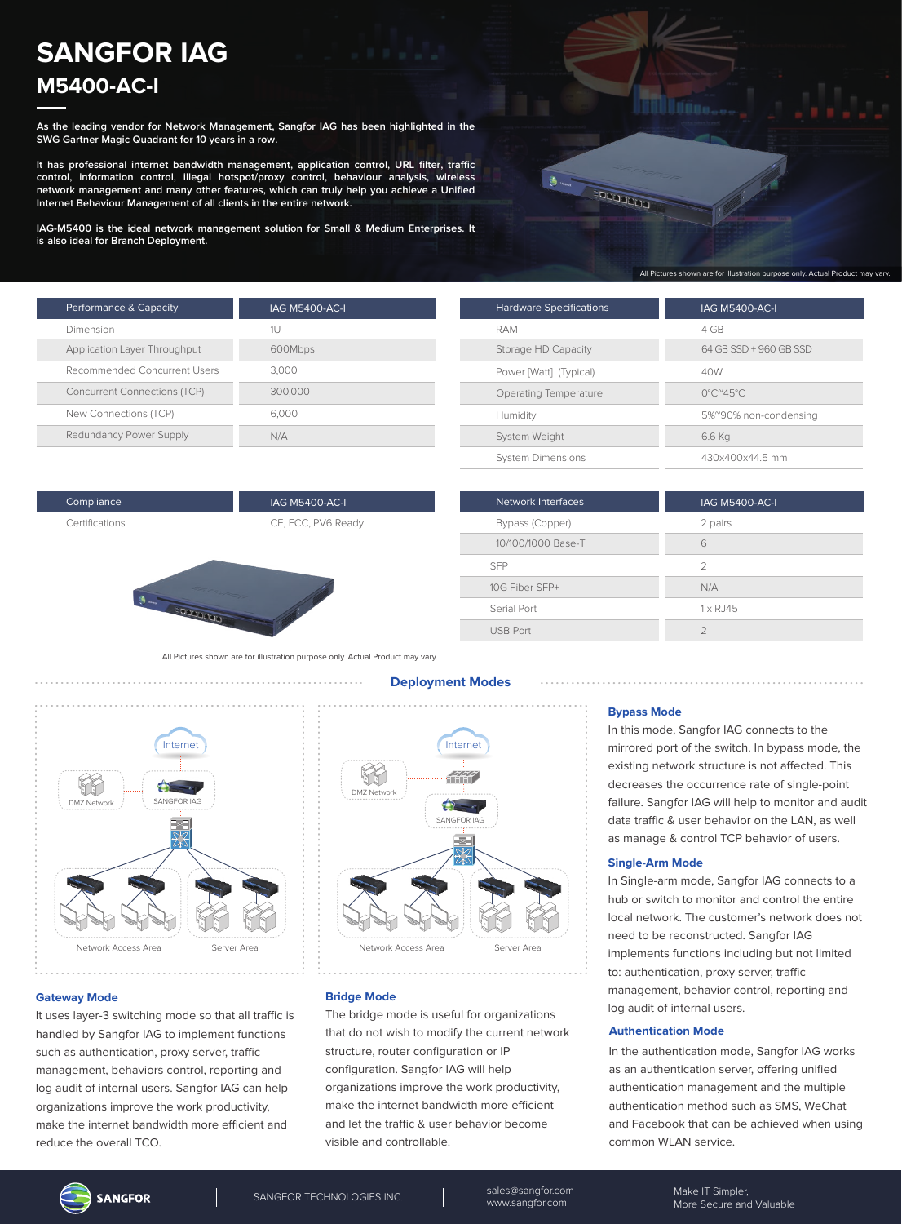# **SANGFOR IAG M5400-AC-I**

**As the leading vendor for Network Management, Sangfor IAG has been highlighted in the SWG Gartner Magic Quadrant for 10 years in a row.**

**It has professional internet bandwidth management, application control, URL filter, traffic control, information control, illegal hotspot/proxy control, behaviour analysis, wireless network management and many other features, which can truly help you achieve a Unified Internet Behaviour Management of all clients in the entire network.**

**IAG-M5400 is the ideal network management solution for Small & Medium Enterprises. It is also ideal for Branch Deployment.**



| Performance & Capacity              | <b>IAG M5400-AC-I</b> |
|-------------------------------------|-----------------------|
|                                     |                       |
| Dimension                           | 1U                    |
| Application Layer Throughput        | 600Mbps               |
| Recommended Concurrent Users        | 3.000                 |
| <b>Concurrent Connections (TCP)</b> | 300,000               |
| New Connections (TCP)               | 6.000                 |
| Redundancy Power Supply             | N/A                   |

| <b>Hardware Specifications</b> | <b>IAG M5400-AC-I</b>                    |
|--------------------------------|------------------------------------------|
| RAM                            | 4 GB                                     |
| Storage HD Capacity            | 64 GB SSD + 960 GB SSD                   |
| Power [Watt] (Typical)         | 40W                                      |
| Operating Temperature          | $0^{\circ}$ C $^{\circ}$ 45 $^{\circ}$ C |
| Humidity                       | 5%~90% non-condensing                    |
| System Weight                  | 6.6 Kg                                   |
| <b>System Dimensions</b>       | 430x400x44.5 mm                          |

| Network Interfaces | <b>IAG M5400-AC-I</b> |
|--------------------|-----------------------|
| Bypass (Copper)    | 2 pairs               |
| 10/100/1000 Base-T | 6                     |
| <b>SFP</b>         | $\mathcal{P}$         |
| 10G Fiber SFP+     | N/A                   |
| Serial Port        | $1 \times R$ . 145    |
| <b>USB Port</b>    |                       |

All Pictures shown are for illustration purpose only. Actual Product may vary.

IAG M5400-AC-I CE, FCC,IPV6 Ready



**DESCRIPTION** 

#### **Gateway Mode**

Compliance Certifications

It uses layer-3 switching mode so that all traffic is handled by Sangfor IAG to implement functions such as authentication, proxy server, traffic management, behaviors control, reporting and log audit of internal users. Sangfor IAG can help organizations improve the work productivity, make the internet bandwidth more efficient and reduce the overall TCO.

#### **Deployment Modes**



**Bridge Mode**

The bridge mode is useful for organizations that do not wish to modify the current network structure, router configuration or IP configuration. Sangfor IAG will help organizations improve the work productivity, make the internet bandwidth more efficient and let the traffic & user behavior become visible and controllable.

#### **Bypass Mode**

In this mode, Sangfor IAG connects to the mirrored port of the switch. In bypass mode, the existing network structure is not affected. This decreases the occurrence rate of single-point failure. Sangfor IAG will help to monitor and audit data traffic & user behavior on the LAN, as well as manage & control TCP behavior of users.

#### **Single-Arm Mode**

In Single-arm mode, Sangfor IAG connects to a hub or switch to monitor and control the entire local network. The customer's network does not need to be reconstructed. Sangfor IAG implements functions including but not limited to: authentication, proxy server, traffic management, behavior control, reporting and log audit of internal users.

#### **Authentication Mode**

In the authentication mode, Sangfor IAG works as an authentication server, offering unified authentication management and the multiple authentication method such as SMS, WeChat and Facebook that can be achieved when using common WLAN service.

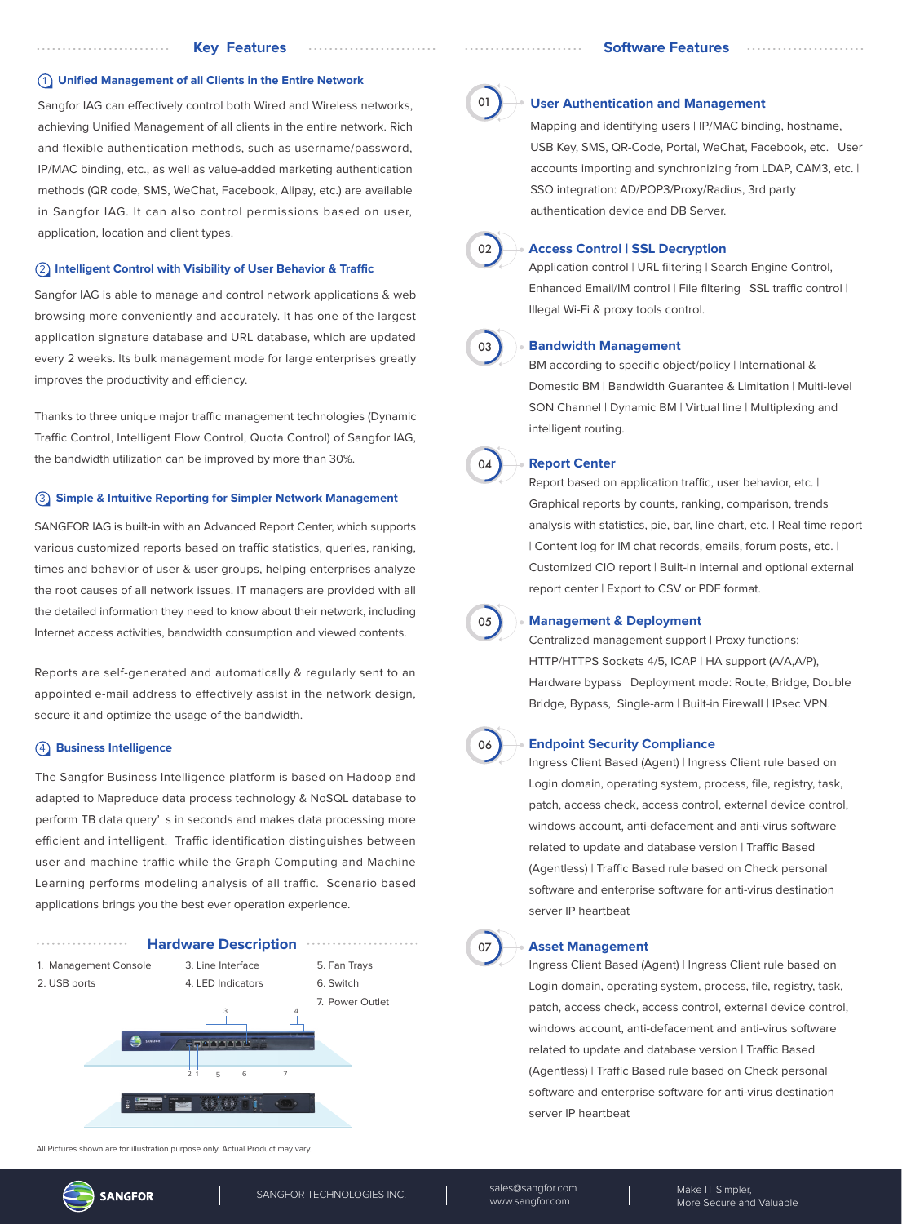#### 1 **Unified Management of all Clients in the Entire Network**

Sangfor IAG can effectively control both Wired and Wireless networks, achieving Unified Management of all clients in the entire network. Rich and flexible authentication methods, such as username/password, IP/MAC binding, etc., as well as value-added marketing authentication methods (QR code, SMS, WeChat, Facebook, Alipay, etc.) are available in Sangfor IAG. It can also control permissions based on user, application, location and client types.

#### **(2) Intelligent Control with Visibility of User Behavior & Traffic**

Sangfor IAG is able to manage and control network applications & web browsing more conveniently and accurately. It has one of the largest application signature database and URL database, which are updated every 2 weeks. Its bulk management mode for large enterprises greatly improves the productivity and efficiency.

Thanks to three unique major traffic management technologies (Dynamic Traffic Control, Intelligent Flow Control, Quota Control) of Sangfor IAG, the bandwidth utilization can be improved by more than 30%.

#### 3 **Simple & Intuitive Reporting for Simpler Network Management**

SANGFOR IAG is built-in with an Advanced Report Center, which supports various customized reports based on traffic statistics, queries, ranking, times and behavior of user & user groups, helping enterprises analyze the root causes of all network issues. IT managers are provided with all the detailed information they need to know about their network, including Internet access activities, bandwidth consumption and viewed contents.

Reports are self-generated and automatically & regularly sent to an appointed e-mail address to effectively assist in the network design, secure it and optimize the usage of the bandwidth.

### 4 **Business Intelligence**

The Sangfor Business Intelligence platform is based on Hadoop and adapted to Mapreduce data process technology & NoSQL database to perform TB data query' s in seconds and makes data processing more efficient and intelligent. Traffic identification distinguishes between user and machine traffic while the Graph Computing and Machine Learning performs modeling analysis of all traffic. Scenario based applications brings you the best ever operation experience.



All Pictures shown are for illustration purpose only. Actual Product may vary.



#### **User Authentication and Management**

Mapping and identifying users | IP/MAC binding, hostname, USB Key, SMS, QR-Code, Portal, WeChat, Facebook, etc. | User accounts importing and synchronizing from LDAP, CAM3, etc. | SSO integration: AD/POP3/Proxy/Radius, 3rd party authentication device and DB Server.



#### **Access Control | SSL Decryption**

Application control | URL filtering | Search Engine Control, Enhanced Email/IM control | File filtering | SSL traffic control | Illegal Wi-Fi & proxy tools control.



#### **Bandwidth Management**

BM according to specific object/policy | International & Domestic BM | Bandwidth Guarantee & Limitation | Multi-level SON Channel | Dynamic BM | Virtual line | Multiplexing and intelligent routing.



#### **Report Center**

Report based on application traffic, user behavior, etc. | Graphical reports by counts, ranking, comparison, trends analysis with statistics, pie, bar, line chart, etc. | Real time report | Content log for IM chat records, emails, forum posts, etc. | Customized CIO report | Built-in internal and optional external report center | Export to CSV or PDF format.



#### **Management & Deployment**

Centralized management support | Proxy functions: HTTP/HTTPS Sockets 4/5, ICAP | HA support (A/A,A/P), Hardware bypass | Deployment mode: Route, Bridge, Double Bridge, Bypass, Single-arm | Built-in Firewall | IPsec VPN.



#### **Endpoint Security Compliance**

Ingress Client Based (Agent) | Ingress Client rule based on Login domain, operating system, process, file, registry, task, patch, access check, access control, external device control, windows account, anti-defacement and anti-virus software related to update and database version | Traffic Based (Agentless) | Traffic Based rule based on Check personal software and enterprise software for anti-virus destination server IP heartbeat

## 07

#### **Asset Management**

Ingress Client Based (Agent) | Ingress Client rule based on Login domain, operating system, process, file, registry, task, patch, access check, access control, external device control, windows account, anti-defacement and anti-virus software related to update and database version | Traffic Based (Agentless) | Traffic Based rule based on Check personal software and enterprise software for anti-virus destination server IP heartbeat

**SANGFOR** 

SANGFOR TECHNOLOGIES INC. Sales@sangfor.com www.sangfor.com